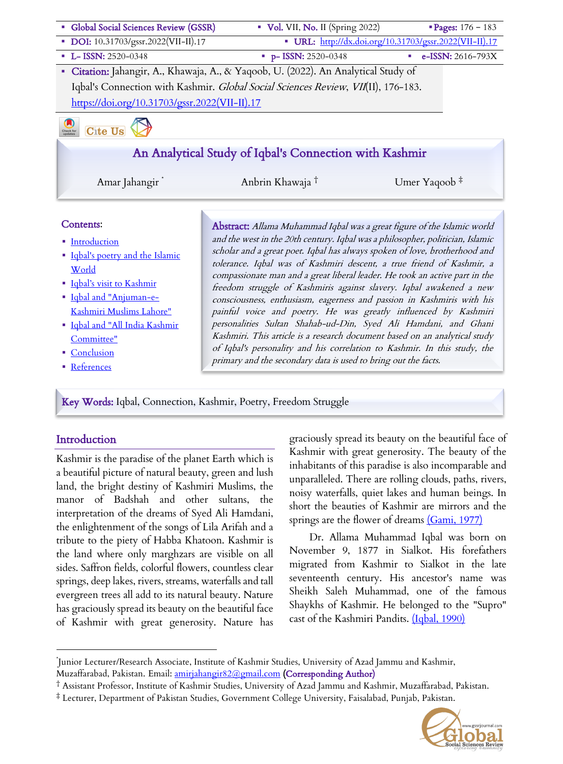

Key Words: Iqbal, Connection, Kashmir, Poetry, Freedom Struggle

#### Introduction

Kashmir is the paradise of the planet Earth which is a beautiful picture of natural beauty, green and lush land, the bright destiny of Kashmiri Muslims, the manor of Badshah and other sultans, the interpretation of the dreams of Syed Ali Hamdani, the enlightenment of the songs of Lila Arifah and a tribute to the piety of Habba Khatoon. Kashmir is the land where only marghzars are visible on all sides. Saffron fields, colorful flowers, countless clear springs, deep lakes, rivers, streams, waterfalls and tall evergreen trees all add to its natural beauty. Nature has graciously spread its beauty on the beautiful face of Kashmir with great generosity. Nature has

graciously spread its beauty on the beautiful face of Kashmir with great generosity. The beauty of the inhabitants of this paradise is also incomparable and unparalleled. There are rolling clouds, paths, rivers, noisy waterfalls, quiet lakes and human beings. In short the beauties of Kashmir are mirrors and the springs are the flower of dreams (Gami, 1977)

Dr. Allama Muhammad Iqbal was born on November 9, 1877 in Sialkot. His forefathers migrated from Kashmir to Sialkot in the late seventeenth century. His ancestor's name was Sheikh Saleh Muhammad, one of the famous Shaykhs of Kashmir. He belonged to the "Supro" cast of the Kashmiri Pandits. (Iqbal, 1990)

<sup>‡</sup> Lecturer, Department of Pakistan Studies, Government College University, Faisalabad, Punjab, Pakistan.



<sup>\*</sup> Junior Lecturer/Research Associate, Institute of Kashmir Studies, University of Azad Jammu and Kashmir, Muzaffarabad, Pakistan. Email: **amirjahangir82@gmail.com** (Corresponding Author)

<sup>†</sup> Assistant Professor, Institute of Kashmir Studies, University of Azad Jammu and Kashmir, Muzaffarabad, Pakistan.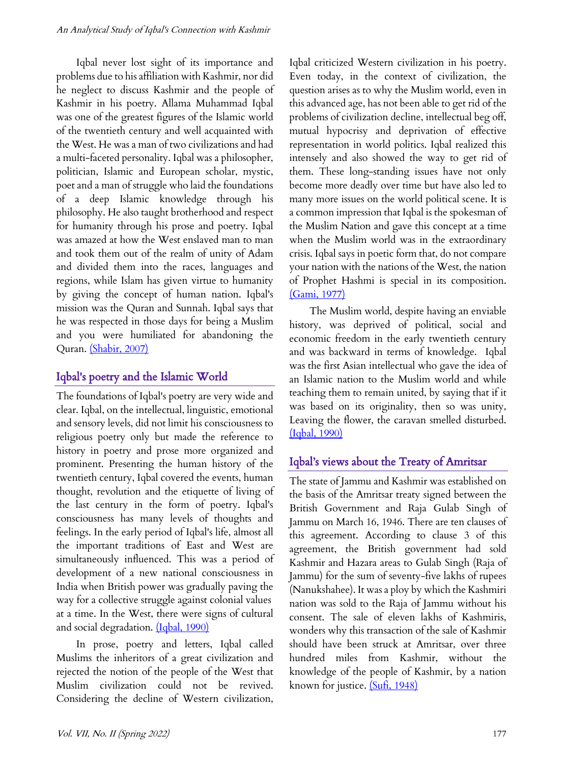Iqbal never lost sight of its importance and problems due to his affiliation with Kashmir, nor did he neglect to discuss Kashmir and the people of Kashmir in his poetry. Allama Muhammad Iqbal was one of the greatest figures of the Islamic world of the twentieth century and well acquainted with the West. He was a man of two civilizations and had a multi-faceted personality. Iqbal was a philosopher, politician, Islamic and European scholar, mystic, poet and a man of struggle who laid the foundations of a deep Islamic knowledge through his philosophy. He also taught brotherhood and respect for humanity through his prose and poetry. Iqbal was amazed at how the West enslaved man to man and took them out of the realm of unity of Adam and divided them into the races, languages and regions, while Islam has given virtue to humanity by giving the concept of human nation. Iqbal's mission was the Quran and Sunnah. Iqbal says that he was respected in those days for being a Muslim and you were humiliated for abandoning the Quran. *(Shabir, 2007)* 

## Iqbal's poetry and the Islamic World

The foundations of Iqbal's poetry are very wide and clear. Iqbal, on the intellectual, linguistic, emotional and sensory levels, did not limit his consciousness to religious poetry only but made the reference to history in poetry and prose more organized and prominent. Presenting the human history of the twentieth century, Iqbal covered the events, human thought, revolution and the etiquette of living of the last century in the form of poetry. Iqbal's consciousness has many levels of thoughts and feelings. In the early period of Iqbal's life, almost all the important traditions of East and West are simultaneously influenced. This was a period of development of a new national consciousness in India when British power was gradually paving the way for a collective struggle against colonial values at a time. In the West, there were signs of cultural and social degradation. (Iqbal, 1990)

In prose, poetry and letters, Iqbal called Muslims the inheritors of a great civilization and rejected the notion of the people of the West that Muslim civilization could not be revived. Considering the decline of Western civilization,

Iqbal criticized Western civilization in his poetry. Even today, in the context of civilization, the question arises as to why the Muslim world, even in this advanced age, has not been able to get rid of the problems of civilization decline, intellectual beg off, mutual hypocrisy and deprivation of effective representation in world politics. Iqbal realized this intensely and also showed the way to get rid of them. These long-standing issues have not only become more deadly over time but have also led to many more issues on the world political scene. It is a common impression that Iqbal is the spokesman of the Muslim Nation and gave this concept at a time when the Muslim world was in the extraordinary crisis. Iqbal says in poetic form that, do not compare your nation with the nations of the West, the nation of Prophet Hashmi is special in its composition. (Gami, 1977)

The Muslim world, despite having an enviable history, was deprived of political, social and economic freedom in the early twentieth century and was backward in terms of knowledge. Iqbal was the first Asian intellectual who gave the idea of an Islamic nation to the Muslim world and while teaching them to remain united, by saying that if it was based on its originality, then so was unity, Leaving the flower, the caravan smelled disturbed. (Iqbal, 1990)

## Iqbal's views about the Treaty of Amritsar

The state of Jammu and Kashmir was established on the basis of the Amritsar treaty signed between the British Government and Raja Gulab Singh of Jammu on March 16, 1946. There are ten clauses of this agreement. According to clause 3 of this agreement, the British government had sold Kashmir and Hazara areas to Gulab Singh (Raja of Jammu) for the sum of seventy-five lakhs of rupees (Nanukshahee). It was a ploy by which the Kashmiri nation was sold to the Raja of Jammu without his consent. The sale of eleven lakhs of Kashmiris, wonders why this transaction of the sale of Kashmir should have been struck at Amritsar, over three hundred miles from Kashmir, without the knowledge of the people of Kashmir, by a nation known for justice. **(Sufi, 1948)**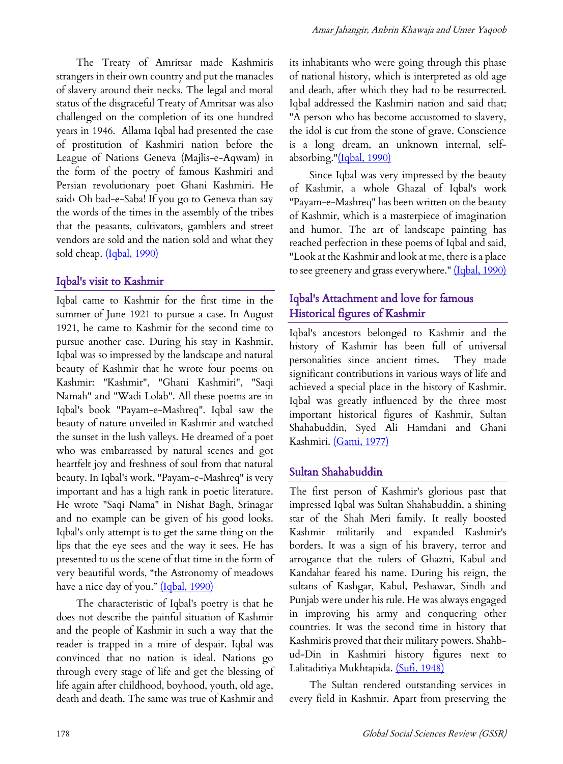The Treaty of Amritsar made Kashmiris strangers in their own country and put the manacles of slavery around their necks. The legal and moral status of the disgraceful Treaty of Amritsar was also challenged on the completion of its one hundred years in 1946. Allama Iqbal had presented the case of prostitution of Kashmiri nation before the League of Nations Geneva (Majlis-e-Aqwam) in the form of the poetry of famous Kashmiri and Persian revolutionary poet Ghani Kashmiri. He said، Oh bad-e-Saba! If you go to Geneva than say the words of the times in the assembly of the tribes that the peasants, cultivators, gamblers and street vendors are sold and the nation sold and what they sold cheap. (Iqbal, 1990)

### Iqbal's visit to Kashmir

Iqbal came to Kashmir for the first time in the summer of June 1921 to pursue a case. In August 1921, he came to Kashmir for the second time to pursue another case. During his stay in Kashmir, Iqbal was so impressed by the landscape and natural beauty of Kashmir that he wrote four poems on Kashmir: "Kashmir", "Ghani Kashmiri", "Saqi Namah" and "Wadi Lolab". All these poems are in Iqbal's book "Payam-e-Mashreq". Iqbal saw the beauty of nature unveiled in Kashmir and watched the sunset in the lush valleys. He dreamed of a poet who was embarrassed by natural scenes and got heartfelt joy and freshness of soul from that natural beauty. In Iqbal's work, "Payam-e-Mashreq" is very important and has a high rank in poetic literature. He wrote "Saqi Nama" in Nishat Bagh, Srinagar and no example can be given of his good looks. Iqbal's only attempt is to get the same thing on the lips that the eye sees and the way it sees. He has presented to us the scene of that time in the form of very beautiful words, "the Astronomy of meadows have a nice day of you." (Iqbal, 1990)

The characteristic of Iqbal's poetry is that he does not describe the painful situation of Kashmir and the people of Kashmir in such a way that the reader is trapped in a mire of despair. Iqbal was convinced that no nation is ideal. Nations go through every stage of life and get the blessing of life again after childhood, boyhood, youth, old age, death and death. The same was true of Kashmir and its inhabitants who were going through this phase of national history, which is interpreted as old age and death, after which they had to be resurrected. Iqbal addressed the Kashmiri nation and said that; "A person who has become accustomed to slavery, the idol is cut from the stone of grave. Conscience is a long dream, an unknown internal, selfabsorbing."(Iqbal, 1990)

Since Iqbal was very impressed by the beauty of Kashmir, a whole Ghazal of Iqbal's work "Payam-e-Mashreq" has been written on the beauty of Kashmir, which is a masterpiece of imagination and humor. The art of landscape painting has reached perfection in these poems of Iqbal and said, "Look at the Kashmir and look at me, there is a place to see greenery and grass everywhere." (Iqbal, 1990)

## Iqbal's Attachment and love for famous Historical figures of Kashmir

Iqbal's ancestors belonged to Kashmir and the history of Kashmir has been full of universal personalities since ancient times. They made significant contributions in various ways of life and achieved a special place in the history of Kashmir. Iqbal was greatly influenced by the three most important historical figures of Kashmir, Sultan Shahabuddin, Syed Ali Hamdani and Ghani Kashmiri. (Gami, 1977)

## Sultan Shahabuddin

The first person of Kashmir's glorious past that impressed Iqbal was Sultan Shahabuddin, a shining star of the Shah Meri family. It really boosted Kashmir militarily and expanded Kashmir's borders. It was a sign of his bravery, terror and arrogance that the rulers of Ghazni, Kabul and Kandahar feared his name. During his reign, the sultans of Kashgar, Kabul, Peshawar, Sindh and Punjab were under his rule. He was always engaged in improving his army and conquering other countries. It was the second time in history that Kashmiris proved that their military powers. Shahbud-Din in Kashmiri history figures next to Lalitaditiya Mukhtapida. (Sufi, 1948)

The Sultan rendered outstanding services in every field in Kashmir. Apart from preserving the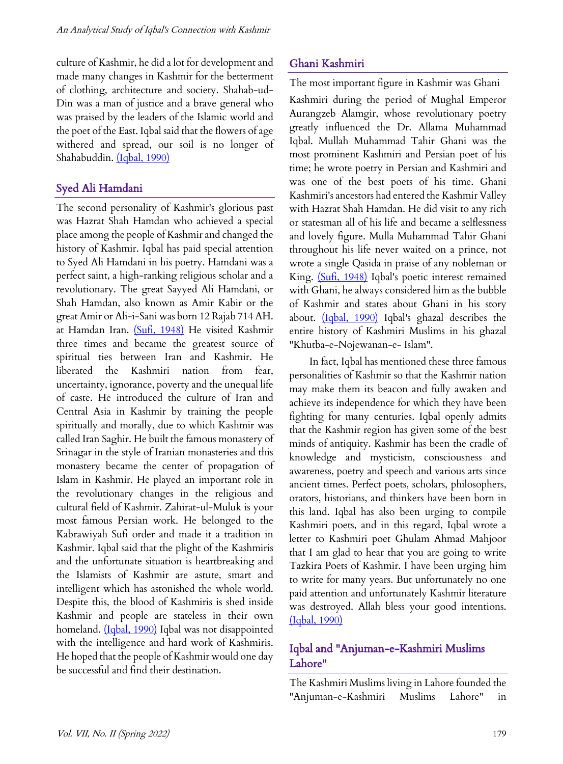culture of Kashmir, he did a lot for development and made many changes in Kashmir for the betterment of clothing, architecture and society. Shahab-ud-Din was a man of justice and a brave general who was praised by the leaders of the Islamic world and the poet of the East. Iqbal said that the flowers of age withered and spread, our soil is no longer of Shahabuddin. (Iqbal, 1990)

### Syed Ali Hamdani

The second personality of Kashmir's glorious past was Hazrat Shah Hamdan who achieved a special place among the people of Kashmir and changed the history of Kashmir. Iqbal has paid special attention to Syed Ali Hamdani in his poetry. Hamdani was a perfect saint, a high-ranking religious scholar and a revolutionary. The great Sayyed Ali Hamdani, or Shah Hamdan, also known as Amir Kabir or the great Amir or Ali-i-Sani was born 12 Rajab 714 AH. at Hamdan Iran. (Sufi, 1948) He visited Kashmir three times and became the greatest source of spiritual ties between Iran and Kashmir. He liberated the Kashmiri nation from fear, uncertainty, ignorance, poverty and the unequal life of caste. He introduced the culture of Iran and Central Asia in Kashmir by training the people spiritually and morally, due to which Kashmir was called Iran Saghir. He built the famous monastery of Srinagar in the style of Iranian monasteries and this monastery became the center of propagation of Islam in Kashmir. He played an important role in the revolutionary changes in the religious and cultural field of Kashmir. Zahirat-ul-Muluk is your most famous Persian work. He belonged to the Kabrawiyah Sufi order and made it a tradition in Kashmir. Iqbal said that the plight of the Kashmiris and the unfortunate situation is heartbreaking and the Islamists of Kashmir are astute, smart and intelligent which has astonished the whole world. Despite this, the blood of Kashmiris is shed inside Kashmir and people are stateless in their own homeland. (Igbal, 1990) Iqbal was not disappointed with the intelligence and hard work of Kashmiris. He hoped that the people of Kashmir would one day be successful and find their destination.

### Ghani Kashmiri

The most important figure in Kashmir was Ghani Kashmiri during the period of Mughal Emperor Aurangzeb Alamgir, whose revolutionary poetry greatly influenced the Dr. Allama Muhammad Iqbal. Mullah Muhammad Tahir Ghani was the most prominent Kashmiri and Persian poet of his time; he wrote poetry in Persian and Kashmiri and was one of the best poets of his time. Ghani Kashmiri's ancestors had entered the Kashmir Valley with Hazrat Shah Hamdan. He did visit to any rich or statesman all of his life and became a selflessness and lovely figure. Mulla Muhammad Tahir Ghani throughout his life never waited on a prince, not wrote a single Qasida in praise of any nobleman or King. (Sufi, 1948) Iqbal's poetic interest remained with Ghani, he always considered him as the bubble of Kashmir and states about Ghani in his story about. (Iqbal, 1990) Iqbal's ghazal describes the entire history of Kashmiri Muslims in his ghazal "Khutba-e-Nojewanan-e- Islam".

In fact, Iqbal has mentioned these three famous personalities of Kashmir so that the Kashmir nation may make them its beacon and fully awaken and achieve its independence for which they have been fighting for many centuries. Iqbal openly admits that the Kashmir region has given some of the best minds of antiquity. Kashmir has been the cradle of knowledge and mysticism, consciousness and awareness, poetry and speech and various arts since ancient times. Perfect poets, scholars, philosophers, orators, historians, and thinkers have been born in this land. Iqbal has also been urging to compile Kashmiri poets, and in this regard, Iqbal wrote a letter to Kashmiri poet Ghulam Ahmad Mahjoor that I am glad to hear that you are going to write Tazkira Poets of Kashmir. I have been urging him to write for many years. But unfortunately no one paid attention and unfortunately Kashmir literature was destroyed. Allah bless your good intentions. (Iqbal, 1990)

# Iqbal and "Anjuman-e-Kashmiri Muslims Lahore"

The Kashmiri Muslims living in Lahore founded the "Anjuman-e-Kashmiri Muslims Lahore" in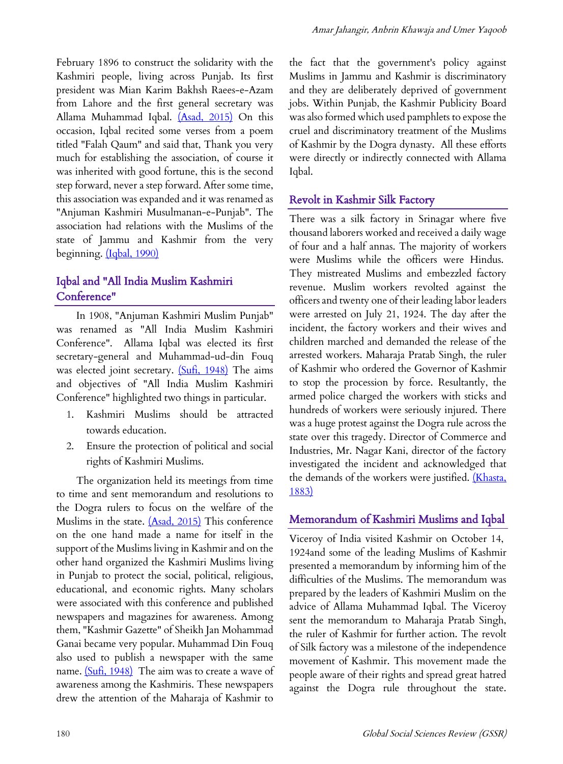February 1896 to construct the solidarity with the Kashmiri people, living across Punjab. Its first president was Mian Karim Bakhsh Raees-e-Azam from Lahore and the first general secretary was Allama Muhammad Iqbal. (Asad, 2015) On this occasion, Iqbal recited some verses from a poem titled "Falah Qaum" and said that, Thank you very much for establishing the association, of course it

was inherited with good fortune, this is the second step forward, never a step forward. After some time, this association was expanded and it was renamed as "Anjuman Kashmiri Musulmanan-e-Punjab". The association had relations with the Muslims of the state of Jammu and Kashmir from the very beginning. (Iqbal, 1990)

## Iqbal and "All India Muslim Kashmiri Conference"

In 1908, "Anjuman Kashmiri Muslim Punjab" was renamed as "All India Muslim Kashmiri Conference". Allama Iqbal was elected its first secretary-general and Muhammad-ud-din Fouq was elected joint secretary. (Sufi, 1948) The aims and objectives of "All India Muslim Kashmiri Conference" highlighted two things in particular.

- 1. Kashmiri Muslims should be attracted towards education.
- 2. Ensure the protection of political and social rights of Kashmiri Muslims.

The organization held its meetings from time to time and sent memorandum and resolutions to the Dogra rulers to focus on the welfare of the Muslims in the state. (Asad, 2015) This conference on the one hand made a name for itself in the support of the Muslims living in Kashmir and on the other hand organized the Kashmiri Muslims living in Punjab to protect the social, political, religious, educational, and economic rights. Many scholars were associated with this conference and published newspapers and magazines for awareness. Among them, "Kashmir Gazette" of Sheikh Jan Mohammad Ganai became very popular. Muhammad Din Fouq also used to publish a newspaper with the same name. (Sufi, 1948) The aim was to create a wave of awareness among the Kashmiris. These newspapers drew the attention of the Maharaja of Kashmir to

the fact that the government's policy against Muslims in Jammu and Kashmir is discriminatory and they are deliberately deprived of government jobs. Within Punjab, the Kashmir Publicity Board was also formed which used pamphlets to expose the cruel and discriminatory treatment of the Muslims of Kashmir by the Dogra dynasty. All these efforts were directly or indirectly connected with Allama Iqbal.

### Revolt in Kashmir Silk Factory

There was a silk factory in Srinagar where five thousand laborers worked and received a daily wage of four and a half annas. The majority of workers were Muslims while the officers were Hindus. They mistreated Muslims and embezzled factory revenue. Muslim workers revolted against the officers and twenty one of their leading labor leaders were arrested on July 21, 1924. The day after the incident, the factory workers and their wives and children marched and demanded the release of the arrested workers. Maharaja Pratab Singh, the ruler of Kashmir who ordered the Governor of Kashmir to stop the procession by force. Resultantly, the armed police charged the workers with sticks and hundreds of workers were seriously injured. There was a huge protest against the Dogra rule across the state over this tragedy. Director of Commerce and Industries, Mr. Nagar Kani, director of the factory investigated the incident and acknowledged that the demands of the workers were justified. (Khasta, 1883)

#### Memorandum of Kashmiri Muslims and Iqbal

Viceroy of India visited Kashmir on October 14, 1924and some of the leading Muslims of Kashmir presented a memorandum by informing him of the difficulties of the Muslims. The memorandum was prepared by the leaders of Kashmiri Muslim on the advice of Allama Muhammad Iqbal. The Viceroy sent the memorandum to Maharaja Pratab Singh, the ruler of Kashmir for further action. The revolt of Silk factory was a milestone of the independence movement of Kashmir. This movement made the people aware of their rights and spread great hatred against the Dogra rule throughout the state.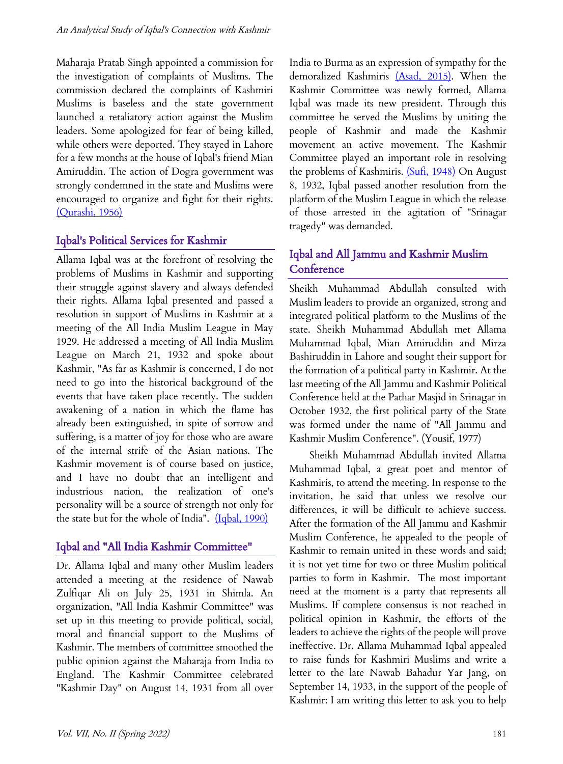Maharaja Pratab Singh appointed a commission for the investigation of complaints of Muslims. The commission declared the complaints of Kashmiri Muslims is baseless and the state government launched a retaliatory action against the Muslim leaders. Some apologized for fear of being killed, while others were deported. They stayed in Lahore for a few months at the house of Iqbal's friend Mian Amiruddin. The action of Dogra government was strongly condemned in the state and Muslims were encouraged to organize and fight for their rights. (Qurashi, 1956)

### Iqbal's Political Services for Kashmir

Allama Iqbal was at the forefront of resolving the problems of Muslims in Kashmir and supporting their struggle against slavery and always defended their rights. Allama Iqbal presented and passed a resolution in support of Muslims in Kashmir at a meeting of the All India Muslim League in May 1929. He addressed a meeting of All India Muslim League on March 21, 1932 and spoke about Kashmir, "As far as Kashmir is concerned, I do not need to go into the historical background of the events that have taken place recently. The sudden awakening of a nation in which the flame has already been extinguished, in spite of sorrow and suffering, is a matter of joy for those who are aware of the internal strife of the Asian nations. The Kashmir movement is of course based on justice, and I have no doubt that an intelligent and industrious nation, the realization of one's personality will be a source of strength not only for the state but for the whole of India". *(Igbal, 1990)* 

### Iqbal and "All India Kashmir Committee"

Dr. Allama Iqbal and many other Muslim leaders attended a meeting at the residence of Nawab Zulfiqar Ali on July 25, 1931 in Shimla. An organization, "All India Kashmir Committee" was set up in this meeting to provide political, social, moral and financial support to the Muslims of Kashmir. The members of committee smoothed the public opinion against the Maharaja from India to England. The Kashmir Committee celebrated "Kashmir Day" on August 14, 1931 from all over

India to Burma as an expression of sympathy for the demoralized Kashmiris (Asad, 2015). When the Kashmir Committee was newly formed, Allama Iqbal was made its new president. Through this committee he served the Muslims by uniting the people of Kashmir and made the Kashmir movement an active movement. The Kashmir Committee played an important role in resolving the problems of Kashmiris. (Sufi, 1948) On August 8, 1932, Iqbal passed another resolution from the platform of the Muslim League in which the release of those arrested in the agitation of "Srinagar tragedy" was demanded.

## Iqbal and All Jammu and Kashmir Muslim **Conference**

Sheikh Muhammad Abdullah consulted with Muslim leaders to provide an organized, strong and integrated political platform to the Muslims of the state. Sheikh Muhammad Abdullah met Allama Muhammad Iqbal, Mian Amiruddin and Mirza Bashiruddin in Lahore and sought their support for the formation of a political party in Kashmir. At the last meeting of the All Jammu and Kashmir Political Conference held at the Pathar Masjid in Srinagar in October 1932, the first political party of the State was formed under the name of "All Jammu and Kashmir Muslim Conference". (Yousif, 1977)

Sheikh Muhammad Abdullah invited Allama Muhammad Iqbal, a great poet and mentor of Kashmiris, to attend the meeting. In response to the invitation, he said that unless we resolve our differences, it will be difficult to achieve success. After the formation of the All Jammu and Kashmir Muslim Conference, he appealed to the people of Kashmir to remain united in these words and said; it is not yet time for two or three Muslim political parties to form in Kashmir. The most important need at the moment is a party that represents all Muslims. If complete consensus is not reached in political opinion in Kashmir, the efforts of the leaders to achieve the rights of the people will prove ineffective. Dr. Allama Muhammad Iqbal appealed to raise funds for Kashmiri Muslims and write a letter to the late Nawab Bahadur Yar Jang, on September 14, 1933, in the support of the people of Kashmir: I am writing this letter to ask you to help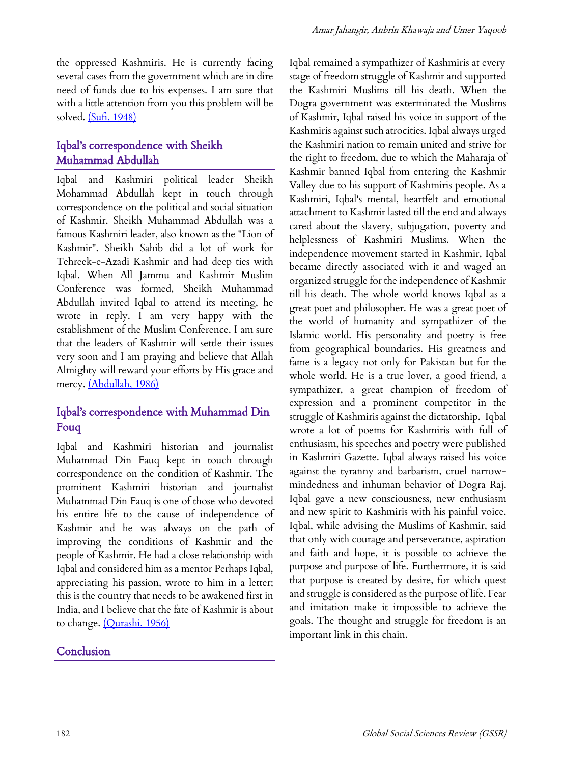the oppressed Kashmiris. He is currently facing several cases from the government which are in dire need of funds due to his expenses. I am sure that with a little attention from you this problem will be solved. (Sufi, 1948)

### Iqbal's correspondence with Sheikh Muhammad Abdullah

Iqbal and Kashmiri political leader Sheikh Mohammad Abdullah kept in touch through correspondence on the political and social situation of Kashmir. Sheikh Muhammad Abdullah was a famous Kashmiri leader, also known as the "Lion of Kashmir". Sheikh Sahib did a lot of work for Tehreek-e-Azadi Kashmir and had deep ties with Iqbal. When All Jammu and Kashmir Muslim Conference was formed, Sheikh Muhammad Abdullah invited Iqbal to attend its meeting, he wrote in reply. I am very happy with the establishment of the Muslim Conference. I am sure that the leaders of Kashmir will settle their issues very soon and I am praying and believe that Allah Almighty will reward your efforts by His grace and mercy. (Abdullah, 1986)

## Iqbal's correspondence with Muhammad Din Fouq

Iqbal and Kashmiri historian and journalist Muhammad Din Fauq kept in touch through correspondence on the condition of Kashmir. The prominent Kashmiri historian and journalist Muhammad Din Fauq is one of those who devoted his entire life to the cause of independence of Kashmir and he was always on the path of improving the conditions of Kashmir and the people of Kashmir. He had a close relationship with Iqbal and considered him as a mentor Perhaps Iqbal, appreciating his passion, wrote to him in a letter; this is the country that needs to be awakened first in India, and I believe that the fate of Kashmir is about to change. (Qurashi, 1956)

### Conclusion

Iqbal remained a sympathizer of Kashmiris at every stage of freedom struggle of Kashmir and supported the Kashmiri Muslims till his death. When the Dogra government was exterminated the Muslims of Kashmir, Iqbal raised his voice in support of the Kashmiris against such atrocities. Iqbal always urged the Kashmiri nation to remain united and strive for the right to freedom, due to which the Maharaja of Kashmir banned Iqbal from entering the Kashmir Valley due to his support of Kashmiris people. As a Kashmiri, Iqbal's mental, heartfelt and emotional attachment to Kashmir lasted till the end and always cared about the slavery, subjugation, poverty and helplessness of Kashmiri Muslims. When the independence movement started in Kashmir, Iqbal became directly associated with it and waged an organized struggle for the independence of Kashmir till his death. The whole world knows Iqbal as a great poet and philosopher. He was a great poet of the world of humanity and sympathizer of the Islamic world. His personality and poetry is free from geographical boundaries. His greatness and fame is a legacy not only for Pakistan but for the whole world. He is a true lover, a good friend, a sympathizer, a great champion of freedom of expression and a prominent competitor in the struggle of Kashmiris against the dictatorship. Iqbal wrote a lot of poems for Kashmiris with full of enthusiasm, his speeches and poetry were published in Kashmiri Gazette. Iqbal always raised his voice against the tyranny and barbarism, cruel narrowmindedness and inhuman behavior of Dogra Raj. Iqbal gave a new consciousness, new enthusiasm and new spirit to Kashmiris with his painful voice. Iqbal, while advising the Muslims of Kashmir, said that only with courage and perseverance, aspiration and faith and hope, it is possible to achieve the purpose and purpose of life. Furthermore, it is said that purpose is created by desire, for which quest and struggle is considered as the purpose of life. Fear and imitation make it impossible to achieve the goals. The thought and struggle for freedom is an important link in this chain.